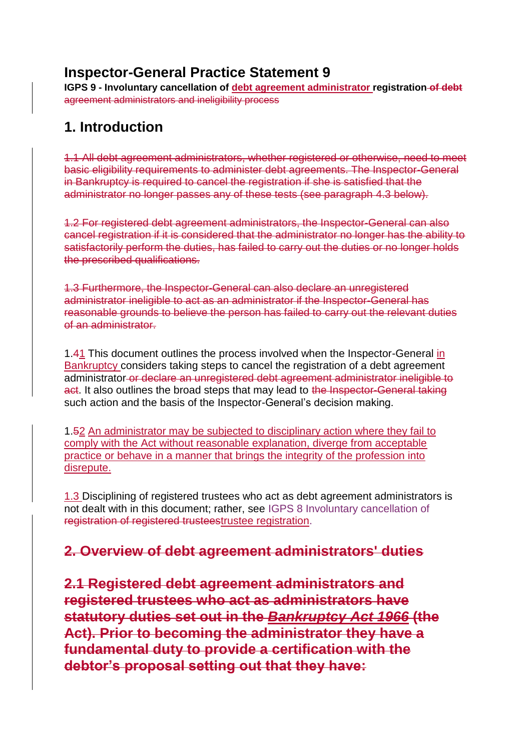### **Inspector-General Practice Statement 9**

**IGPS 9 - Involuntary cancellation of debt agreement administrator registration of debt** agreement administrators and ineligibility process

### **1. Introduction**

1.1 All debt agreement administrators, whether registered or otherwise, need to meet basic eligibility requirements to administer debt agreements. The Inspector-General in Bankruptcy is required to cancel the registration if she is satisfied that the administrator no longer passes any of these tests (see paragraph 4.3 below).

1.2 For registered debt agreement administrators, the Inspector-General can also cancel registration if it is considered that the administrator no longer has the ability to satisfactorily perform the duties, has failed to carry out the duties or no longer holds the prescribed qualifications.

1.3 Furthermore, the Inspector-General can also declare an unregistered administrator ineligible to act as an administrator if the Inspector-General has reasonable grounds to believe the person has failed to carry out the relevant duties of an administrator.

1.41 This document outlines the process involved when the Inspector-General in Bankruptcy considers taking steps to cancel the registration of a debt agreement administrator or declare an unregistered debt agreement administrator ineligible to act. It also outlines the broad steps that may lead to the Inspector-General taking such action and the basis of the Inspector-General's decision making.

1.52 An administrator may be subjected to disciplinary action where they fail to comply with the Act without reasonable explanation, diverge from acceptable practice or behave in a manner that brings the integrity of the profession into disrepute.

1.3 Disciplining of registered trustees who act as debt agreement administrators is not dealt with in this document; rather, see [IGPS 8 Involuntary cancellation of](https://www.afsa.gov.au/about-us/practices/inspector-general-practice-statements/inspector-general-practice-statement-8)  [registration of registered trusteestrustee registration.](https://www.afsa.gov.au/about-us/practices/inspector-general-practice-statements/inspector-general-practice-statement-8)

#### **2. Overview of debt agreement administrators' duties**

**2.1 Registered debt agreement administrators and registered trustees who act as administrators have statutory duties set out in the** *Bankruptcy Act 1966* **(the Act). Prior to becoming the administrator they have a fundamental duty to provide a certification with the debtor's proposal setting out that they have:**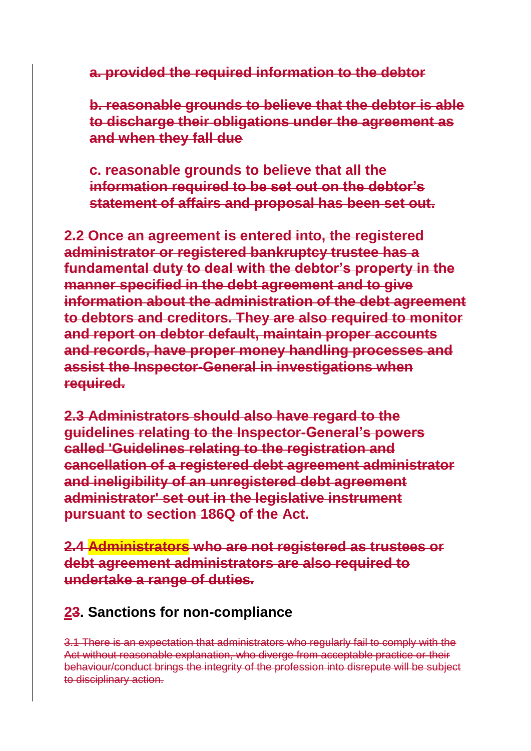**a. provided the required information to the debtor**

**b. reasonable grounds to believe that the debtor is able to discharge their obligations under the agreement as and when they fall due**

**c. reasonable grounds to believe that all the information required to be set out on the debtor's statement of affairs and proposal has been set out.**

**2.2 Once an agreement is entered into, the registered administrator or registered bankruptcy trustee has a fundamental duty to deal with the debtor's property in the manner specified in the debt agreement and to give information about the administration of the debt agreement to debtors and creditors. They are also required to monitor and report on debtor default, maintain proper accounts and records, have proper money handling processes and assist the Inspector-General in investigations when required.**

**2.3 Administrators should also have regard to the guidelines relating to the Inspector-General's powers called 'Guidelines relating to the registration and cancellation of a registered debt agreement administrator and ineligibility of an unregistered debt agreement administrator' set out in the legislative instrument pursuant to section 186Q of the Act.**

**2.4 Administrators who are not registered as trustees or debt agreement administrators are also required to undertake a range of duties.**

#### **23. Sanctions for non-compliance**

3.1 There is an expectation that administrators who regularly fail to comply with the Act without reasonable explanation, who diverge from acceptable practice or their behaviour/conduct brings the integrity of the profession into disrepute will be subject to disciplinary action.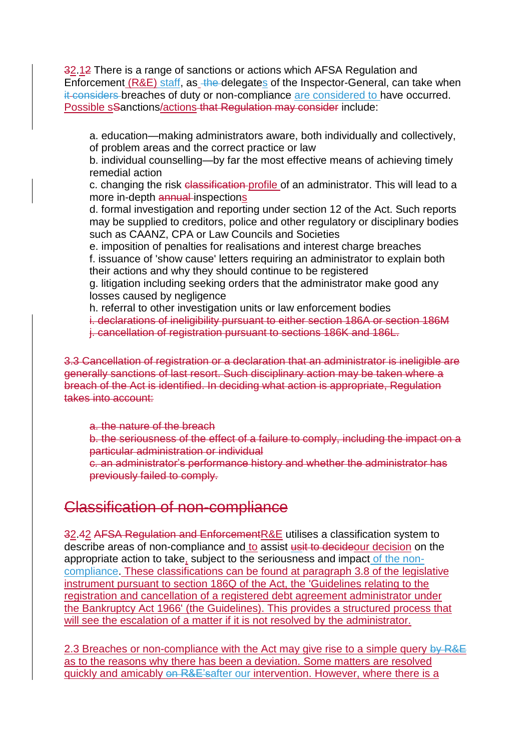32.12 There is a range of sanctions or actions which AFSA Regulation and Enforcement (R&E) staff, as the delegates of the Inspector-General, can take when it-considers breaches of duty or non-compliance are considered to have occurred. Possible sSanctions/actions that Regulation may consider include:

a. education—making administrators aware, both individually and collectively, of problem areas and the correct practice or law

b. individual counselling—by far the most effective means of achieving timely remedial action

c. changing the risk classification profile of an administrator. This will lead to a more in-depth annual-inspections

d. formal investigation and reporting under section 12 of the Act. Such reports may be supplied to creditors, police and other regulatory or disciplinary bodies such as CAANZ, CPA or Law Councils and Societies

e. imposition of penalties for realisations and interest charge breaches f. issuance of 'show cause' letters requiring an administrator to explain both their actions and why they should continue to be registered

g. litigation including seeking orders that the administrator make good any losses caused by negligence

h. referral to other investigation units or law enforcement bodies

i. declarations of ineligibility pursuant to either section 186A or section 186M j. cancellation of registration pursuant to sections 186K and 186L.

3.3 Cancellation of registration or a declaration that an administrator is ineligible are generally sanctions of last resort. Such disciplinary action may be taken where a breach of the Act is identified. In deciding what action is appropriate, Regulation takes into account:

a. the nature of the breach

b. the seriousness of the effect of a failure to comply, including the impact on a particular administration or individual

c. an administrator's performance history and whether the administrator has previously failed to comply.

#### Classification of non-compliance

32.42 AFSA Regulation and EnforcementR&E utilises a classification system to describe areas of non-compliance and to assist usit to decideour decision on the appropriate action to take, subject to the seriousness and impact of the noncompliance. These classifications can be found at paragraph 3.8 of the legislative instrument pursuant to section 186Q of the Act, the ['Guidelines relating to the](https://www.legislation.gov.au/Details/F2017L01308)  [registration and cancellation of a registered debt agreement administrator under](https://www.legislation.gov.au/Details/F2017L01308)  the [Bankruptcy Act 1966'](https://www.legislation.gov.au/Details/F2017L01308) (the Guidelines). This provides a structured process that will see the escalation of a matter if it is not resolved by the administrator.

2.3 Breaches or non-compliance with the Act may give rise to a simple query by R&E as to the reasons why there has been a deviation. Some matters are resolved quickly and amicably on R&E'safter our intervention. However, where there is a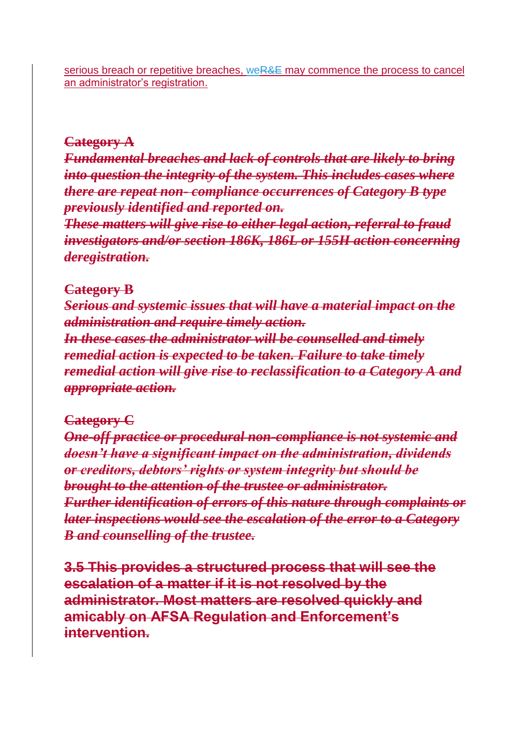serious breach or repetitive breaches, weR&E may commence the process to cancel an administrator's registration.

#### **Category A**

*Fundamental breaches and lack of controls that are likely to bring into question the integrity of the system. This includes cases where there are repeat non- compliance occurrences of Category B type previously identified and reported on.*

*These matters will give rise to either legal action, referral to fraud investigators and/or section 186K, 186L or 155H action concerning deregistration.*

#### **Category B**

*Serious and systemic issues that will have a material impact on the administration and require timely action. In these cases the administrator will be counselled and timely remedial action is expected to be taken. Failure to take timely remedial action will give rise to reclassification to a Category A and appropriate action.*

#### **Category C**

*One-off practice or procedural non-compliance is not systemic and doesn't have a significant impact on the administration, dividends or creditors, debtors' rights or system integrity but should be brought to the attention of the trustee or administrator. Further identification of errors of this nature through complaints or later inspections would see the escalation of the error to a Category B and counselling of the trustee.*

**3.5 This provides a structured process that will see the escalation of a matter if it is not resolved by the administrator. Most matters are resolved quickly and amicably on AFSA Regulation and Enforcement's intervention.**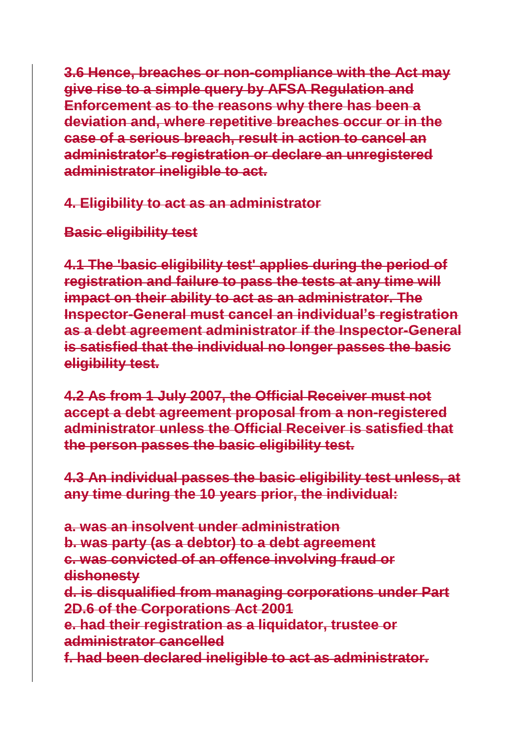**3.6 Hence, breaches or non-compliance with the Act may give rise to a simple query by AFSA Regulation and Enforcement as to the reasons why there has been a deviation and, where repetitive breaches occur or in the case of a serious breach, result in action to cancel an administrator's registration or declare an unregistered administrator ineligible to act.**

### **4. Eligibility to act as an administrator**

## **Basic eligibility test**

**4.1 The 'basic eligibility test' applies during the period of registration and failure to pass the tests at any time will impact on their ability to act as an administrator. The Inspector-General must cancel an individual's registration as a debt agreement administrator if the Inspector-General is satisfied that the individual no longer passes the basic eligibility test.**

**4.2 As from 1 July 2007, the Official Receiver must not accept a debt agreement proposal from a non-registered administrator unless the Official Receiver is satisfied that the person passes the basic eligibility test.**

**4.3 An individual passes the basic eligibility test unless, at any time during the 10 years prior, the individual:**

**a. was an insolvent under administration b. was party (as a debtor) to a debt agreement c. was convicted of an offence involving fraud or dishonesty d. is disqualified from managing corporations under Part 2D.6 of the Corporations Act 2001 e. had their registration as a liquidator, trustee or administrator cancelled f. had been declared ineligible to act as administrator.**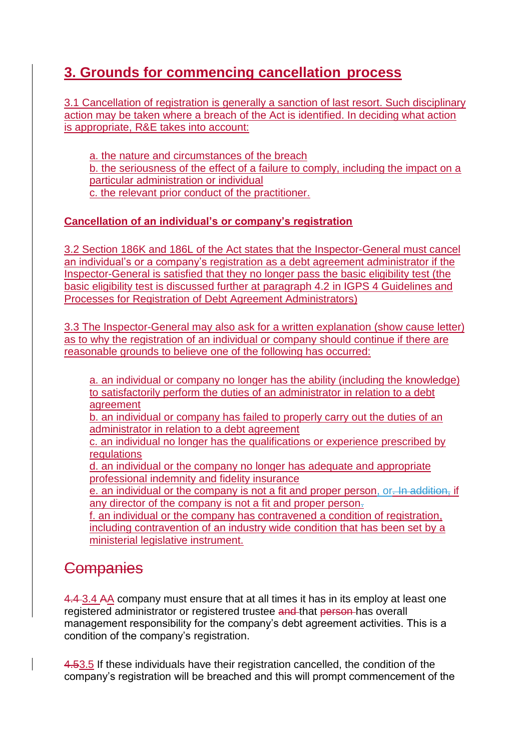## **3. Grounds for commencing cancellation process**

3.1 Cancellation of registration is generally a sanction of last resort. Such disciplinary action may be taken where a breach of the Act is identified. In deciding what action is appropriate, R&E takes into account:

a. the nature and circumstances of the breach b. the seriousness of the effect of a failure to comply, including the impact on a particular administration or individual c. the relevant prior conduct of the practitioner.

#### **Cancellation of an individual's or company's registration**

3.2 Section 186K and 186L of the Act states that the Inspector-General must cancel an individual's or a company's registration as a debt agreement administrator if the Inspector-General is satisfied that they no longer pass the basic eligibility test (the basic eligibility test is discussed further at paragraph 4.2 in [IGPS 4 Guidelines and](https://www.afsa.gov.au/about-us/practices/inspector-general-practice-statements/inspector-general-practice-statement-4)  [Processes for Registration of Debt Agreement Administrators\)](https://www.afsa.gov.au/about-us/practices/inspector-general-practice-statements/inspector-general-practice-statement-4)

3.3 The Inspector-General may also ask for a written explanation (show cause letter) as to why the registration of an individual or company should continue if there are reasonable grounds to believe one of the following has occurred:

a. an individual or company no longer has the ability (including the knowledge) to satisfactorily perform the duties of an administrator in relation to a debt agreement

b. an individual or company has failed to properly carry out the duties of an administrator in relation to a debt agreement

c. an individual no longer has the qualifications or experience prescribed by regulations

d. an individual or the company no longer has adequate and appropriate professional indemnity and fidelity insurance

e. an individual or the company is not a fit and proper person, or. In addition, if any director of the company is not a fit and proper person.

f. an individual or the company has contravened a condition of registration, including contravention of an industry wide condition that has been set by a ministerial legislative instrument.

# **Companies**

4.4 3.4 AA company must ensure that at all times it has in its employ at least one registered administrator or registered trustee and that person has overall management responsibility for the company's debt agreement activities. This is a condition of the company's registration.

4.53.5 If these individuals have their registration cancelled, the condition of the company's registration will be breached and this will prompt commencement of the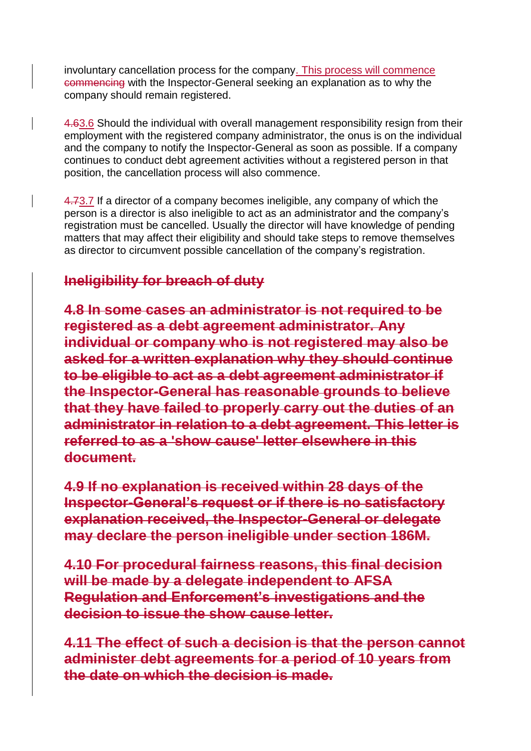involuntary cancellation process for the company. This process will commence commencing with the Inspector-General seeking an explanation as to why the company should remain registered.

4.63.6 Should the individual with overall management responsibility resign from their employment with the registered company administrator, the onus is on the individual and the company to notify the Inspector-General as soon as possible. If a company continues to conduct debt agreement activities without a registered person in that position, the cancellation process will also commence.

4.73.7 If a director of a company becomes ineligible, any company of which the person is a director is also ineligible to act as an administrator and the company's registration must be cancelled. Usually the director will have knowledge of pending matters that may affect their eligibility and should take steps to remove themselves as director to circumvent possible cancellation of the company's registration.

# **Ineligibility for breach of duty**

**4.8 In some cases an administrator is not required to be registered as a debt agreement administrator. Any individual or company who is not registered may also be asked for a written explanation why they should continue to be eligible to act as a debt agreement administrator if the Inspector-General has reasonable grounds to believe that they have failed to properly carry out the duties of an administrator in relation to a debt agreement. This letter is referred to as a 'show cause' letter elsewhere in this document.**

**4.9 If no explanation is received within 28 days of the Inspector-General's request or if there is no satisfactory explanation received, the Inspector-General or delegate may declare the person ineligible under section 186M.**

**4.10 For procedural fairness reasons, this final decision will be made by a delegate independent to AFSA Regulation and Enforcement's investigations and the decision to issue the show cause letter.**

**4.11 The effect of such a decision is that the person cannot administer debt agreements for a period of 10 years from the date on which the decision is made.**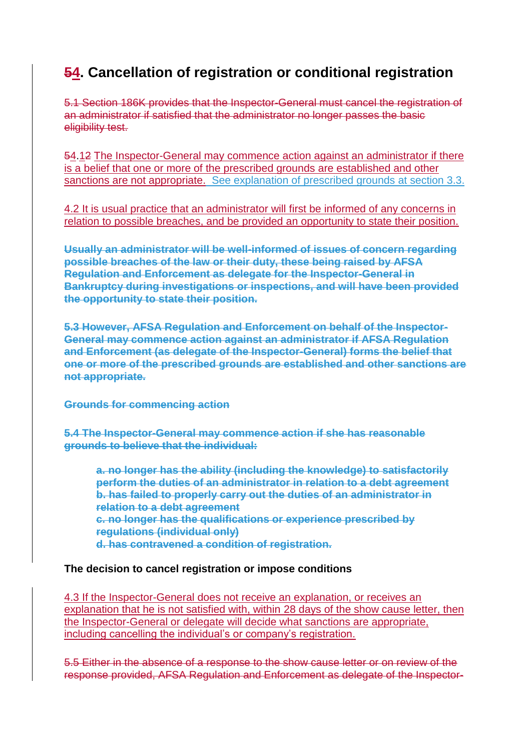## **54. Cancellation of registration or conditional registration**

5.1 Section 186K provides that the Inspector-General must cancel the registration of an administrator if satisfied that the administrator no longer passes the basic eligibility test.

54.12 The Inspector-General may commence action against an administrator if there is a belief that one or more of the prescribed grounds are established and other sanctions are not appropriate. See explanation of prescribed grounds at section 3.3.

4.2 It is usual practice that an administrator will first be informed of any concerns in relation to possible breaches, and be provided an opportunity to state their position.

**Usually an administrator will be well-informed of issues of concern regarding possible breaches of the law or their duty, these being raised by AFSA Regulation and Enforcement as delegate for the Inspector-General in Bankruptcy during investigations or inspections, and will have been provided the opportunity to state their position.**

**5.3 However, AFSA Regulation and Enforcement on behalf of the Inspector-General may commence action against an administrator if AFSA Regulation and Enforcement (as delegate of the Inspector-General) forms the belief that one or more of the prescribed grounds are established and other sanctions are not appropriate.**

**Grounds for commencing action**

**5.4 The Inspector-General may commence action if she has reasonable grounds to believe that the individual:**

**a. no longer has the ability (including the knowledge) to satisfactorily perform the duties of an administrator in relation to a debt agreement b. has failed to properly carry out the duties of an administrator in relation to a debt agreement c. no longer has the qualifications or experience prescribed by regulations (individual only) d. has contravened a condition of registration.**

#### **The decision to cancel registration or impose conditions**

4.3 If the Inspector-General does not receive an explanation, or receives an explanation that he is not satisfied with, within 28 days of the show cause letter, then the Inspector-General or delegate will decide what sanctions are appropriate, including cancelling the individual's or company's registration.

5.5 Either in the absence of a response to the show cause letter or on review of the response provided, AFSA Regulation and Enforcement as delegate of the Inspector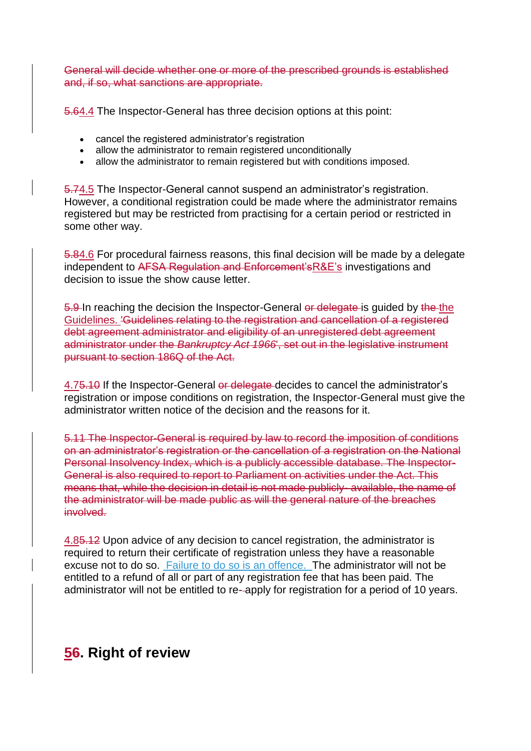General will decide whether one or more of the prescribed grounds is established and, if so, what sanctions are appropriate.

5.64.4 The Inspector-General has three decision options at this point:

- cancel the registered administrator's registration
- allow the administrator to remain registered unconditionally
- allow the administrator to remain registered but with conditions imposed.

5.74.5 The Inspector-General cannot suspend an administrator's registration. However, a conditional registration could be made where the administrator remains registered but may be restricted from practising for a certain period or restricted in some other way.

5.84.6 For procedural fairness reasons, this final decision will be made by a delegate independent to AFSA Regulation and Enforcement'sR&E's investigations and decision to issue the show cause letter.

5.9 In reaching the decision the Inspector-General or delegate is guided by the the [Guidelines.](https://www.legislation.gov.au/Details/F2017L01308) 'Guidelines relating to the registration and cancellation of a registered debt agreement administrator and eligibility of an unregistered debt agreement administrator under the *Bankruptcy Act 1966*', set out in the legislative instrument pursuant to section 186Q of the Act.

4.75.10 If the Inspector-General or delegate decides to cancel the administrator's registration or impose conditions on registration, the Inspector-General must give the administrator written notice of the decision and the reasons for it.

5.11 The Inspector-General is required by law to record the imposition of conditions on an administrator's registration or the cancellation of a registration on the National Personal Insolvency Index, which is a publicly accessible database. The Inspector-General is also required to report to Parliament on activities under the Act. This means that, while the decision in detail is not made publicly- available, the name of the administrator will be made public as will the general nature of the breaches involved.

4.85.12 Upon advice of any decision to cancel registration, the administrator is required to return their certificate of registration unless they have a reasonable excuse not to do so. Failure to do so is an offence. The administrator will not be entitled to a refund of all or part of any registration fee that has been paid. The administrator will not be entitled to re- apply for registration for a period of 10 years.

## **56. Right of review**